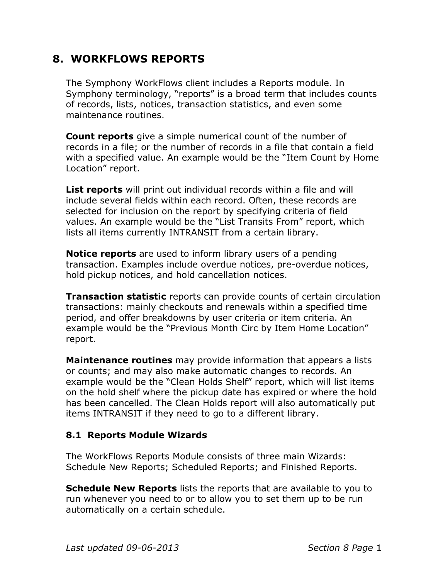# **8. WORKFLOWS REPORTS**

The Symphony WorkFlows client includes a Reports module. In Symphony terminology, "reports" is a broad term that includes counts of records, lists, notices, transaction statistics, and even some maintenance routines.

**Count reports** give a simple numerical count of the number of records in a file; or the number of records in a file that contain a field with a specified value. An example would be the "Item Count by Home Location" report.

**List reports** will print out individual records within a file and will include several fields within each record. Often, these records are selected for inclusion on the report by specifying criteria of field values. An example would be the "List Transits From" report, which lists all items currently INTRANSIT from a certain library.

**Notice reports** are used to inform library users of a pending transaction. Examples include overdue notices, pre-overdue notices, hold pickup notices, and hold cancellation notices.

**Transaction statistic** reports can provide counts of certain circulation transactions: mainly checkouts and renewals within a specified time period, and offer breakdowns by user criteria or item criteria. An example would be the "Previous Month Circ by Item Home Location" report.

**Maintenance routines** may provide information that appears a lists or counts; and may also make automatic changes to records. An example would be the "Clean Holds Shelf" report, which will list items on the hold shelf where the pickup date has expired or where the hold has been cancelled. The Clean Holds report will also automatically put items INTRANSIT if they need to go to a different library.

# **8.1 Reports Module Wizards**

The WorkFlows Reports Module consists of three main Wizards: Schedule New Reports; Scheduled Reports; and Finished Reports.

**Schedule New Reports** lists the reports that are available to you to run whenever you need to or to allow you to set them up to be run automatically on a certain schedule.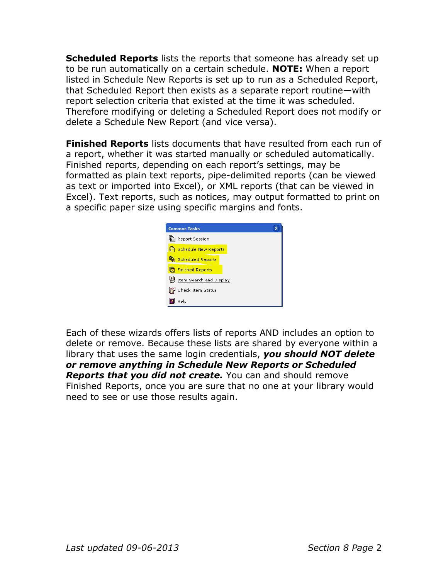**Scheduled Reports** lists the reports that someone has already set up to be run automatically on a certain schedule. **NOTE:** When a report listed in Schedule New Reports is set up to run as a Scheduled Report, that Scheduled Report then exists as a separate report routine—with report selection criteria that existed at the time it was scheduled. Therefore modifying or deleting a Scheduled Report does not modify or delete a Schedule New Report (and vice versa).

**Finished Reports** lists documents that have resulted from each run of a report, whether it was started manually or scheduled automatically. Finished reports, depending on each report's settings, may be formatted as plain text reports, pipe-delimited reports (can be viewed as text or imported into Excel), or XML reports (that can be viewed in Excel). Text reports, such as notices, may output formatted to print on a specific paper size using specific margins and fonts.



Each of these wizards offers lists of reports AND includes an option to delete or remove. Because these lists are shared by everyone within a library that uses the same login credentials, *you should NOT delete or remove anything in Schedule New Reports or Scheduled Reports that you did not create.* You can and should remove Finished Reports, once you are sure that no one at your library would need to see or use those results again.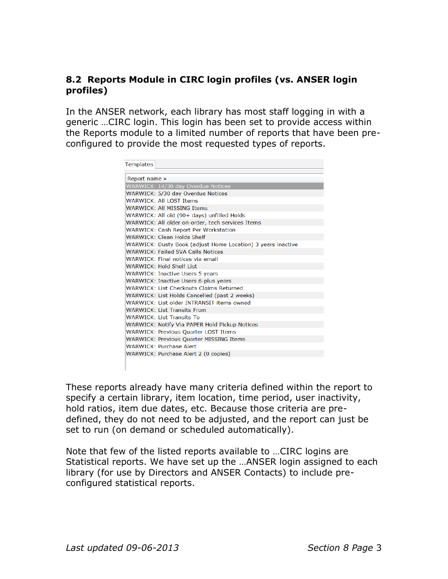# **8.2 Reports Module in CIRC login profiles (vs. ANSER login profiles)**

In the ANSER network, each library has most staff logging in with a generic …CIRC login. This login has been set to provide access within the Reports module to a limited number of reports that have been preconfigured to provide the most requested types of reports.

| <b>Templates</b> |                                                             |
|------------------|-------------------------------------------------------------|
|                  |                                                             |
| Report name »    |                                                             |
|                  | WARWICK: 14/30 day Overdue Notices                          |
|                  | WARWICK: 5/30 day Overdue Notices                           |
|                  | WARWICK: All LOST Items                                     |
|                  | WARWICK: All MISSING Items                                  |
|                  | WARWICK: All old (90+ days) unfilled Holds                  |
|                  | WARWICK: All older on-order, tech services Items            |
|                  | <b>WARWICK: Cash Report Per Workstation</b>                 |
|                  | <b>WARWICK: Clean Holds Shelf</b>                           |
|                  | WARWICK: Dusty Book (adjust Home Location) 3 years inactive |
|                  | <b>WARWICK: Failed SVA Calls Notices</b>                    |
|                  | WARWICK: Final notices via email                            |
|                  | <b>WARWICK: Hold Shelf List</b>                             |
|                  | <b>WARWICK: Inactive Users 5 years</b>                      |
|                  | <b>WARWICK: Inactive Users 6-plus years</b>                 |
|                  | <b>WARWICK: List Checkouts Claims Returned</b>              |
|                  | WARWICK: List Holds Cancelled (past 2 weeks)                |
|                  | WARWICK: List older INTRANSIT items owned                   |
|                  | <b>WARWICK: List Transits From</b>                          |
|                  | <b>WARWICK: List Transits To</b>                            |
|                  | WARWICK: Notify Via PAPER Hold Pickup Notices               |
|                  | <b>WARWICK: Previous Quarter LOST Items</b>                 |
|                  | <b>WARWICK: Previous Quarter MISSING Items</b>              |
|                  | <b>WARWICK: Purchase Alert</b>                              |
|                  | WARWICK: Purchase Alert 2 (0 copies)                        |
|                  |                                                             |

These reports already have many criteria defined within the report to specify a certain library, item location, time period, user inactivity, hold ratios, item due dates, etc. Because those criteria are predefined, they do not need to be adjusted, and the report can just be set to run (on demand or scheduled automatically).

Note that few of the listed reports available to …CIRC logins are Statistical reports. We have set up the …ANSER login assigned to each library (for use by Directors and ANSER Contacts) to include preconfigured statistical reports.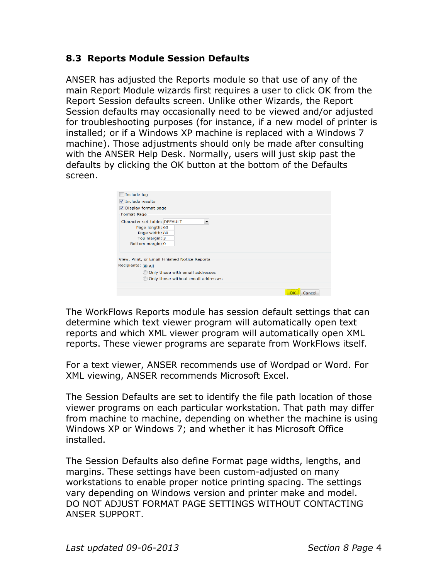# **8.3 Reports Module Session Defaults**

ANSER has adjusted the Reports module so that use of any of the main Report Module wizards first requires a user to click OK from the Report Session defaults screen. Unlike other Wizards, the Report Session defaults may occasionally need to be viewed and/or adjusted for troubleshooting purposes (for instance, if a new model of printer is installed; or if a Windows XP machine is replaced with a Windows 7 machine). Those adjustments should only be made after consulting with the ANSER Help Desk. Normally, users will just skip past the defaults by clicking the OK button at the bottom of the Defaults screen.

| Include log                                   |
|-----------------------------------------------|
| $\sqrt{}$ Include results                     |
| Display format page                           |
| Format Page                                   |
| Character set table: DEFAULT                  |
| Page length: 63                               |
| Page width: 80                                |
| Top margin: 3                                 |
| Bottom margin: 0                              |
|                                               |
| View, Print, or Email Finished Notice Reports |
| Recipients: @ All                             |
| Only those with email addresses               |
| Only those without email addresses            |
|                                               |
| Cancel                                        |

The WorkFlows Reports module has session default settings that can determine which text viewer program will automatically open text reports and which XML viewer program will automatically open XML reports. These viewer programs are separate from WorkFlows itself.

For a text viewer, ANSER recommends use of Wordpad or Word. For XML viewing, ANSER recommends Microsoft Excel.

The Session Defaults are set to identify the file path location of those viewer programs on each particular workstation. That path may differ from machine to machine, depending on whether the machine is using Windows XP or Windows 7; and whether it has Microsoft Office installed.

The Session Defaults also define Format page widths, lengths, and margins. These settings have been custom-adjusted on many workstations to enable proper notice printing spacing. The settings vary depending on Windows version and printer make and model. DO NOT ADJUST FORMAT PAGE SETTINGS WITHOUT CONTACTING ANSER SUPPORT.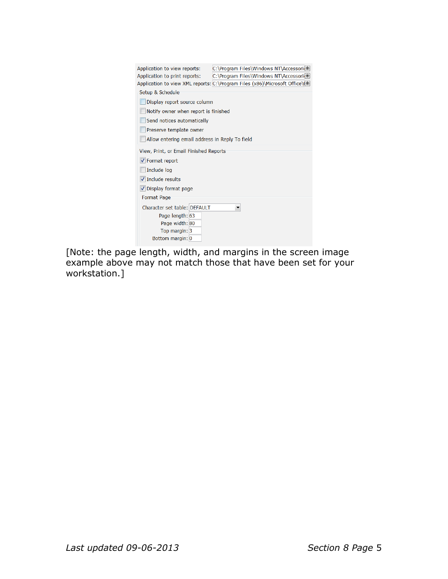| Application to view reports:<br>Application to print reports:                                                                                                                                       | C:\Program Files\Windows NT\Accessori<br>C:\Program Files\Windows NT\Accessori<br>Application to view XML reports: C:\Program Files (x86)\Microsoft Office\( \ |
|-----------------------------------------------------------------------------------------------------------------------------------------------------------------------------------------------------|----------------------------------------------------------------------------------------------------------------------------------------------------------------|
| Setup & Schedule<br>Display report source column<br>Notify owner when report is finished<br>Send notices automatically<br>Preserve template owner<br>Allow entering email address in Reply To field |                                                                                                                                                                |
| View, Print, or Email Finished Reports                                                                                                                                                              |                                                                                                                                                                |
| √ Format report                                                                                                                                                                                     |                                                                                                                                                                |
| Include log                                                                                                                                                                                         |                                                                                                                                                                |
| $\blacktriangledown$ Include results                                                                                                                                                                |                                                                                                                                                                |
| √ Display format page                                                                                                                                                                               |                                                                                                                                                                |
| <b>Format Page</b>                                                                                                                                                                                  |                                                                                                                                                                |
| Character set table: DEFAULT                                                                                                                                                                        |                                                                                                                                                                |
| Page length: 63                                                                                                                                                                                     |                                                                                                                                                                |
| Page width: 80                                                                                                                                                                                      |                                                                                                                                                                |
| Top margin: 3<br>Bottom margin: 0                                                                                                                                                                   |                                                                                                                                                                |
|                                                                                                                                                                                                     |                                                                                                                                                                |

[Note: the page length, width, and margins in the screen image example above may not match those that have been set for your workstation.]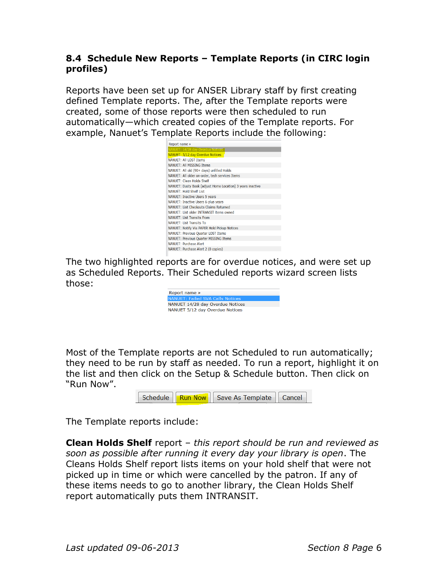# **8.4 Schedule New Reports – Template Reports (in CIRC login profiles)**

Reports have been set up for ANSER Library staff by first creating defined Template reports. The, after the Template reports were created, some of those reports were then scheduled to run automatically—which created copies of the Template reports. For example, Nanuet's Template Reports include the following:

| Report name »                                              |
|------------------------------------------------------------|
| <b>NANUET: 14/28 day Overdue Notices</b>                   |
| NANUET: 5/12 day Overdue Notices                           |
| NANUFT: All LOST Items                                     |
| NANUFT: All MISSING Items                                  |
| NANUET: All old (90+ days) unfilled Holds                  |
| NANUET: All older on-order, tech services Items            |
| NANUET: Clean Holds Shelf                                  |
| NANUET: Dusty Book (adjust Home Location) 3 years inactive |
| NANUET: Hold Shelf List                                    |
| NANUET: Inactive Users 5 years                             |
| NANUET: Inactive Users 6-plus years                        |
| NANUFT: List Checkouts Claims Returned                     |
| NANUET: List older INTRANSIT items owned                   |
| <b>NANUFT: List Transits From</b>                          |
| <b>NANUET: List Transits To</b>                            |
| NANUET: Notify Via PAPER Hold Pickup Notices               |
| NANUET: Previous Quarter LOST Items                        |
| NANUET: Previous Quarter MISSING Items                     |
| <b>NANUET: Purchase Alert</b>                              |
| NANUET: Purchase Alert 2 (0 copies)                        |

The two highlighted reports are for overdue notices, and were set up as Scheduled Reports. Their Scheduled reports wizard screen lists those:

| Report name »                           |
|-----------------------------------------|
| <b>NANUFT: Failed SVA Calls Notices</b> |
| NANUET 14/28 day Overdue Notices        |
| NANUET 5/12 day Overdue Notices         |

Most of the Template reports are not Scheduled to run automatically; they need to be run by staff as needed. To run a report, highlight it on the list and then click on the Setup & Schedule button. Then click on "Run Now".

The Template reports include:

**Clean Holds Shelf** report – *this report should be run and reviewed as soon as possible after running it every day your library is open*. The Cleans Holds Shelf report lists items on your hold shelf that were not picked up in time or which were cancelled by the patron. If any of these items needs to go to another library, the Clean Holds Shelf report automatically puts them INTRANSIT.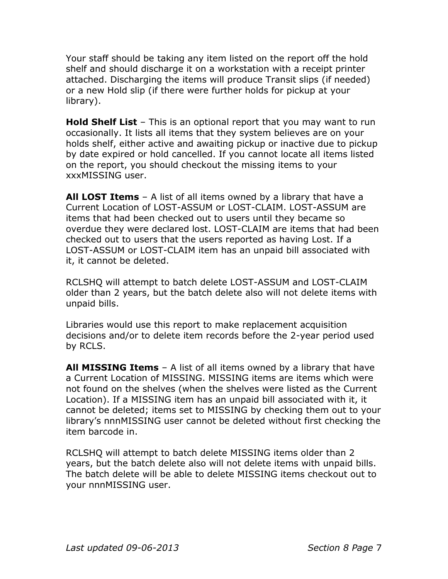Your staff should be taking any item listed on the report off the hold shelf and should discharge it on a workstation with a receipt printer attached. Discharging the items will produce Transit slips (if needed) or a new Hold slip (if there were further holds for pickup at your library).

**Hold Shelf List** – This is an optional report that you may want to run occasionally. It lists all items that they system believes are on your holds shelf, either active and awaiting pickup or inactive due to pickup by date expired or hold cancelled. If you cannot locate all items listed on the report, you should checkout the missing items to your xxxMISSING user.

**All LOST Items** – A list of all items owned by a library that have a Current Location of LOST-ASSUM or LOST-CLAIM. LOST-ASSUM are items that had been checked out to users until they became so overdue they were declared lost. LOST-CLAIM are items that had been checked out to users that the users reported as having Lost. If a LOST-ASSUM or LOST-CLAIM item has an unpaid bill associated with it, it cannot be deleted.

RCLSHQ will attempt to batch delete LOST-ASSUM and LOST-CLAIM older than 2 years, but the batch delete also will not delete items with unpaid bills.

Libraries would use this report to make replacement acquisition decisions and/or to delete item records before the 2-year period used by RCLS.

**All MISSING Items** – A list of all items owned by a library that have a Current Location of MISSING. MISSING items are items which were not found on the shelves (when the shelves were listed as the Current Location). If a MISSING item has an unpaid bill associated with it, it cannot be deleted; items set to MISSING by checking them out to your library's nnnMISSING user cannot be deleted without first checking the item barcode in.

RCLSHQ will attempt to batch delete MISSING items older than 2 years, but the batch delete also will not delete items with unpaid bills. The batch delete will be able to delete MISSING items checkout out to your nnnMISSING user.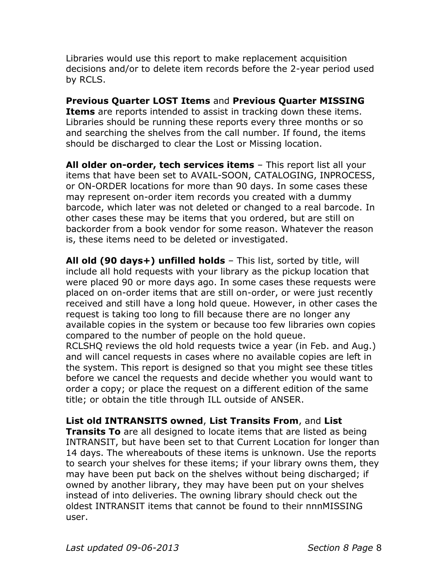Libraries would use this report to make replacement acquisition decisions and/or to delete item records before the 2-year period used by RCLS.

**Previous Quarter LOST Items** and **Previous Quarter MISSING Items** are reports intended to assist in tracking down these items. Libraries should be running these reports every three months or so and searching the shelves from the call number. If found, the items should be discharged to clear the Lost or Missing location.

**All older on-order, tech services items** – This report list all your items that have been set to AVAIL-SOON, CATALOGING, INPROCESS, or ON-ORDER locations for more than 90 days. In some cases these may represent on-order item records you created with a dummy barcode, which later was not deleted or changed to a real barcode. In other cases these may be items that you ordered, but are still on backorder from a book vendor for some reason. Whatever the reason is, these items need to be deleted or investigated.

**All old (90 days+) unfilled holds** – This list, sorted by title, will include all hold requests with your library as the pickup location that were placed 90 or more days ago. In some cases these requests were placed on on-order items that are still on-order, or were just recently received and still have a long hold queue. However, in other cases the request is taking too long to fill because there are no longer any available copies in the system or because too few libraries own copies compared to the number of people on the hold queue. RCLSHQ reviews the old hold requests twice a year (in Feb. and Aug.) and will cancel requests in cases where no available copies are left in the system. This report is designed so that you might see these titles before we cancel the requests and decide whether you would want to order a copy; or place the request on a different edition of the same title; or obtain the title through ILL outside of ANSER.

# **List old INTRANSITS owned**, **List Transits From**, and **List**

**Transits To** are all designed to locate items that are listed as being INTRANSIT, but have been set to that Current Location for longer than 14 days. The whereabouts of these items is unknown. Use the reports to search your shelves for these items; if your library owns them, they may have been put back on the shelves without being discharged; if owned by another library, they may have been put on your shelves instead of into deliveries. The owning library should check out the oldest INTRANSIT items that cannot be found to their nnnMISSING user.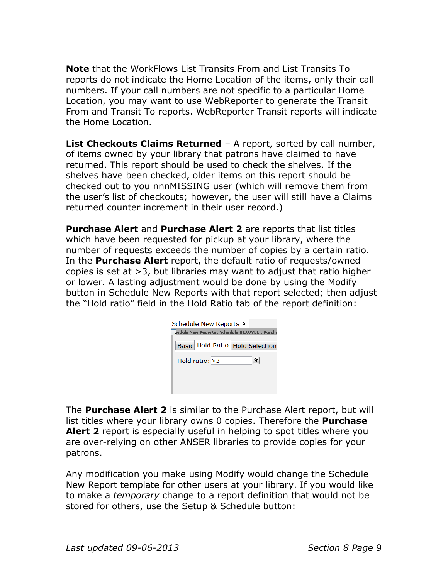**Note** that the WorkFlows List Transits From and List Transits To reports do not indicate the Home Location of the items, only their call numbers. If your call numbers are not specific to a particular Home Location, you may want to use WebReporter to generate the Transit From and Transit To reports. WebReporter Transit reports will indicate the Home Location.

**List Checkouts Claims Returned** – A report, sorted by call number, of items owned by your library that patrons have claimed to have returned. This report should be used to check the shelves. If the shelves have been checked, older items on this report should be checked out to you nnnMISSING user (which will remove them from the user's list of checkouts; however, the user will still have a Claims returned counter increment in their user record.)

**Purchase Alert** and **Purchase Alert 2** are reports that list titles which have been requested for pickup at your library, where the number of requests exceeds the number of copies by a certain ratio. In the **Purchase Alert** report, the default ratio of requests/owned copies is set at >3, but libraries may want to adjust that ratio higher or lower. A lasting adjustment would be done by using the Modify button in Schedule New Reports with that report selected; then adjust the "Hold ratio" field in the Hold Ratio tab of the report definition:

| Schedule New Reports *                         |  |
|------------------------------------------------|--|
| redule New Reports : Schedule BLAUVELT: Purcha |  |
| Basic Hold Ratio Hold Selection                |  |
| Hold ratio: > 3                                |  |
|                                                |  |
|                                                |  |

The **Purchase Alert 2** is similar to the Purchase Alert report, but will list titles where your library owns 0 copies. Therefore the **Purchase Alert 2** report is especially useful in helping to spot titles where you are over-relying on other ANSER libraries to provide copies for your patrons.

Any modification you make using Modify would change the Schedule New Report template for other users at your library. If you would like to make a *temporary* change to a report definition that would not be stored for others, use the Setup & Schedule button: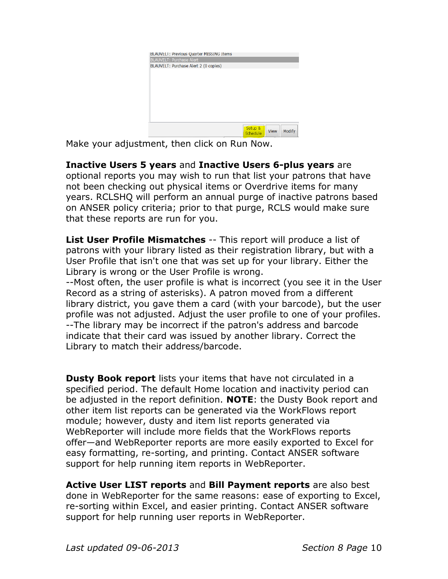| BLAUVELI: Previous Quarter MISSING Items |                                  |
|------------------------------------------|----------------------------------|
| <b>BLAUVELT: Purchase Alert</b>          |                                  |
| BLAUVELT: Purchase Alert 2 (0 copies)    |                                  |
|                                          |                                  |
|                                          |                                  |
|                                          |                                  |
|                                          |                                  |
|                                          |                                  |
|                                          |                                  |
|                                          |                                  |
|                                          |                                  |
|                                          |                                  |
|                                          |                                  |
|                                          | Setup &<br>Modify<br><b>View</b> |
|                                          | Schedule                         |

Make your adjustment, then click on Run Now.

**Inactive Users 5 years** and **Inactive Users 6-plus years** are optional reports you may wish to run that list your patrons that have not been checking out physical items or Overdrive items for many years. RCLSHQ will perform an annual purge of inactive patrons based on ANSER policy criteria; prior to that purge, RCLS would make sure that these reports are run for you.

**List User Profile Mismatches** -- This report will produce a list of patrons with your library listed as their registration library, but with a User Profile that isn't one that was set up for your library. Either the Library is wrong or the User Profile is wrong.

--Most often, the user profile is what is incorrect (you see it in the User Record as a string of asterisks). A patron moved from a different library district, you gave them a card (with your barcode), but the user profile was not adjusted. Adjust the user profile to one of your profiles. --The library may be incorrect if the patron's address and barcode indicate that their card was issued by another library. Correct the Library to match their address/barcode.

**Dusty Book report** lists your items that have not circulated in a specified period. The default Home location and inactivity period can be adjusted in the report definition. **NOTE**: the Dusty Book report and other item list reports can be generated via the WorkFlows report module; however, dusty and item list reports generated via WebReporter will include more fields that the WorkFlows reports offer—and WebReporter reports are more easily exported to Excel for easy formatting, re-sorting, and printing. Contact ANSER software support for help running item reports in WebReporter.

**Active User LIST reports** and **Bill Payment reports** are also best done in WebReporter for the same reasons: ease of exporting to Excel, re-sorting within Excel, and easier printing. Contact ANSER software support for help running user reports in WebReporter.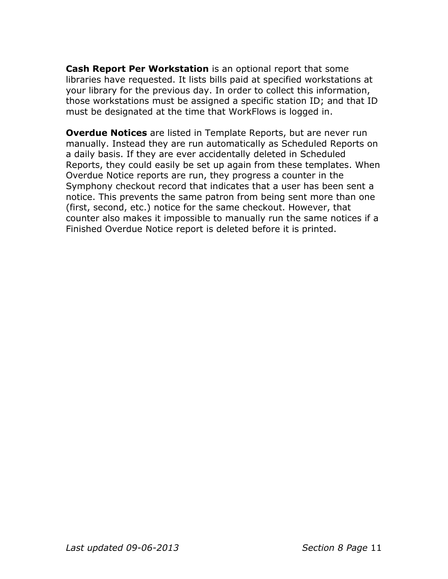**Cash Report Per Workstation** is an optional report that some libraries have requested. It lists bills paid at specified workstations at your library for the previous day. In order to collect this information, those workstations must be assigned a specific station ID; and that ID must be designated at the time that WorkFlows is logged in.

**Overdue Notices** are listed in Template Reports, but are never run manually. Instead they are run automatically as Scheduled Reports on a daily basis. If they are ever accidentally deleted in Scheduled Reports, they could easily be set up again from these templates. When Overdue Notice reports are run, they progress a counter in the Symphony checkout record that indicates that a user has been sent a notice. This prevents the same patron from being sent more than one (first, second, etc.) notice for the same checkout. However, that counter also makes it impossible to manually run the same notices if a Finished Overdue Notice report is deleted before it is printed.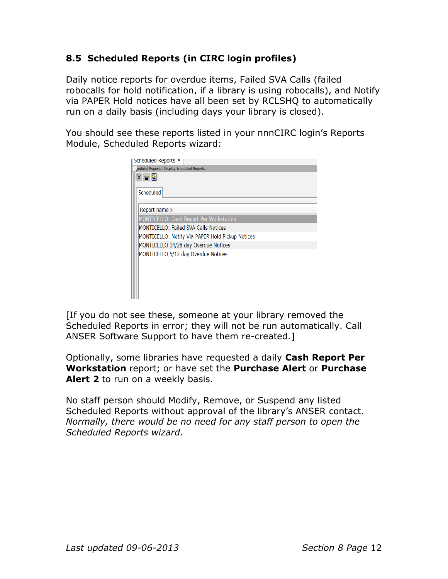# **8.5 Scheduled Reports (in CIRC login profiles)**

Daily notice reports for overdue items, Failed SVA Calls (failed robocalls for hold notification, if a library is using robocalls), and Notify via PAPER Hold notices have all been set by RCLSHQ to automatically run on a daily basis (including days your library is closed).

You should see these reports listed in your nnnCIRC login's Reports Module, Scheduled Reports wizard:

| Scheduled Reports                                |  |  |  |
|--------------------------------------------------|--|--|--|
| eduled Reports : Display Scheduled Reports,      |  |  |  |
| 医骨周                                              |  |  |  |
| Scheduled                                        |  |  |  |
|                                                  |  |  |  |
| Report name »                                    |  |  |  |
| <b>MONTICELLO: Cash Report Per Workstation</b>   |  |  |  |
| <b>MONTICELLO: Failed SVA Calls Notices</b>      |  |  |  |
| MONTICELLO: Notify Via PAPER Hold Pickup Notices |  |  |  |
| MONTICELLO 14/28 day Overdue Notices             |  |  |  |
| MONTICELLO 5/12 day Overdue Notices              |  |  |  |
|                                                  |  |  |  |
|                                                  |  |  |  |
|                                                  |  |  |  |
|                                                  |  |  |  |
|                                                  |  |  |  |

[If you do not see these, someone at your library removed the Scheduled Reports in error; they will not be run automatically. Call ANSER Software Support to have them re-created.]

Optionally, some libraries have requested a daily **Cash Report Per Workstation** report; or have set the **Purchase Alert** or **Purchase**  Alert 2 to run on a weekly basis.

No staff person should Modify, Remove, or Suspend any listed Scheduled Reports without approval of the library's ANSER contact. *Normally, there would be no need for any staff person to open the Scheduled Reports wizard.*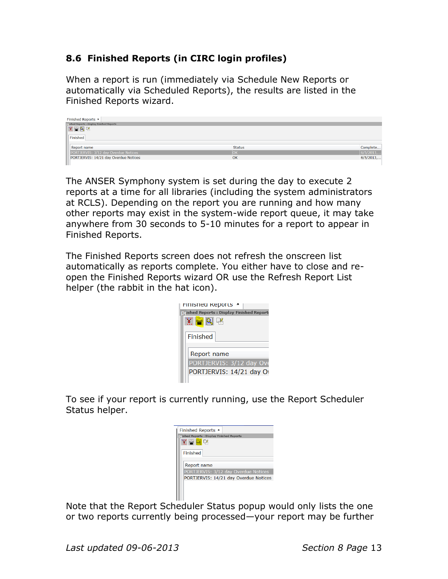# **8.6 Finished Reports (in CIRC login profiles)**

When a report is run (immediately via Schedule New Reports or automatically via Scheduled Reports), the results are listed in the Finished Reports wizard.

| Finished Reports *                                 |               |           |
|----------------------------------------------------|---------------|-----------|
| <b>D</b> (ished Reports : Display Finished Reports |               |           |
| 医胃周期                                               |               |           |
| Finished                                           |               |           |
| Report name                                        | <b>Status</b> | Complete  |
| PORTJERVIS: 3/12 day Overdue Notices               | <b>OK</b>     | 6/5/2013, |
| PORTJERVIS: 14/21 day Overdue Notices              | OK            | 6/5/2013  |
|                                                    |               |           |

The ANSER Symphony system is set during the day to execute 2 reports at a time for all libraries (including the system administrators at RCLS). Depending on the report you are running and how many other reports may exist in the system-wide report queue, it may take anywhere from 30 seconds to 5-10 minutes for a report to appear in Finished Reports.

The Finished Reports screen does not refresh the onscreen list automatically as reports complete. You either have to close and reopen the Finished Reports wizard OR use the Refresh Report List helper (the rabbit in the hat icon).

| FINISHED REPORTS                         |
|------------------------------------------|
| ished Reports : Display Finished Reports |
| $\tilde{\mathbf{x}} = \mathbf{R}$        |
|                                          |
| Finished                                 |
|                                          |
| Report name                              |
|                                          |
| PORTJERVIS: 3/12 day Ove                 |
| PORTJERVIS: 14/21 day Ov                 |
|                                          |

To see if your report is currently running, use the Report Scheduler Status helper.

| <b>Finished Reports *</b>                |  |
|------------------------------------------|--|
| ished Reports : Display Finished Reports |  |
| $\mathbf{X} = \mathbf{R}$ is             |  |
|                                          |  |
| Finished                                 |  |
|                                          |  |
| Report name                              |  |
| PORTJERVIS: 3/12 day Overdue Notices     |  |
| PORTJERVIS: 14/21 day Overdue Notices    |  |
|                                          |  |
|                                          |  |

Note that the Report Scheduler Status popup would only lists the one or two reports currently being processed—your report may be further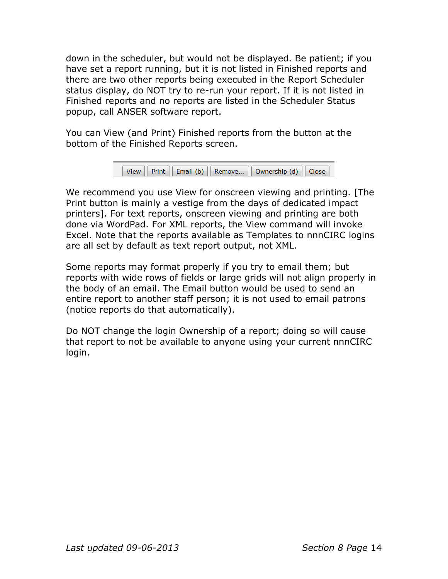down in the scheduler, but would not be displayed. Be patient; if you have set a report running, but it is not listed in Finished reports and there are two other reports being executed in the Report Scheduler status display, do NOT try to re-run your report. If it is not listed in Finished reports and no reports are listed in the Scheduler Status popup, call ANSER software report.

You can View (and Print) Finished reports from the button at the bottom of the Finished Reports screen.

```
View | Print | Email (b) | Remove... | Ownership (d) | Close
```
We recommend you use View for onscreen viewing and printing. [The Print button is mainly a vestige from the days of dedicated impact printers]. For text reports, onscreen viewing and printing are both done via WordPad. For XML reports, the View command will invoke Excel. Note that the reports available as Templates to nnnCIRC logins are all set by default as text report output, not XML.

Some reports may format properly if you try to email them; but reports with wide rows of fields or large grids will not align properly in the body of an email. The Email button would be used to send an entire report to another staff person; it is not used to email patrons (notice reports do that automatically).

Do NOT change the login Ownership of a report; doing so will cause that report to not be available to anyone using your current nnnCIRC login.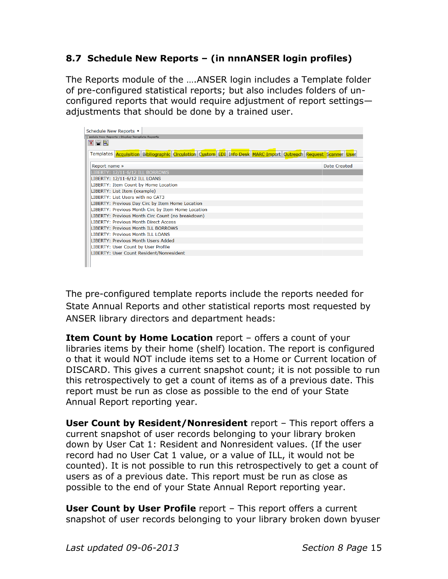# **8.7 Schedule New Reports – (in nnnANSER login profiles)**

The Reports module of the ….ANSER login includes a Template folder of pre-configured statistical reports; but also includes folders of unconfigured reports that would require adjustment of report settings adjustments that should be done by a trained user.

| Schedule New Reports *                                                                                         |              |
|----------------------------------------------------------------------------------------------------------------|--------------|
| redule New Reports : Display Template Reports                                                                  |              |
| $X - R$                                                                                                        |              |
|                                                                                                                |              |
| Templates Acquisition Bibliographic Circulation Custom EDI Info Desk MARC Import Outreach Request Scanner User |              |
|                                                                                                                |              |
| Report name »                                                                                                  | Date Created |
| LIBERTY: 12/11-6/12 ILL BORROWS                                                                                |              |
| LIBERTY: 12/11-6/12 ILL LOANS                                                                                  |              |
| LIBERTY: Item Count by Home Location                                                                           |              |
| LIBERTY: List Item (example)                                                                                   |              |
| LIBERTY: List Users with no CAT3                                                                               |              |
| LIBERTY: Previous Day Circ by Item Home Location                                                               |              |
| LIBERTY: Previous Month Circ by Item Home Location                                                             |              |
| LIBERTY: Previous Month Circ Count (no breakdown)                                                              |              |
| <b>LIBERTY: Previous Month Direct Access</b>                                                                   |              |
| <b>INFRTY: Previous Month ILL BORROWS</b>                                                                      |              |
| <b>I IBERTY: Previous Month III LOANS</b>                                                                      |              |
| LIBERTY: Previous Month Users Added                                                                            |              |
| LIBERTY: User Count by User Profile                                                                            |              |
| LIBERTY: User Count Resident/Nonresident                                                                       |              |
|                                                                                                                |              |
|                                                                                                                |              |

The pre-configured template reports include the reports needed for State Annual Reports and other statistical reports most requested by ANSER library directors and department heads:

**Item Count by Home Location** report – offers a count of your libraries items by their home (shelf) location. The report is configured o that it would NOT include items set to a Home or Current location of DISCARD. This gives a current snapshot count; it is not possible to run this retrospectively to get a count of items as of a previous date. This report must be run as close as possible to the end of your State Annual Report reporting year.

**User Count by Resident/Nonresident** report – This report offers a current snapshot of user records belonging to your library broken down by User Cat 1: Resident and Nonresident values. (If the user record had no User Cat 1 value, or a value of ILL, it would not be counted). It is not possible to run this retrospectively to get a count of users as of a previous date. This report must be run as close as possible to the end of your State Annual Report reporting year.

**User Count by User Profile** report – This report offers a current snapshot of user records belonging to your library broken down byuser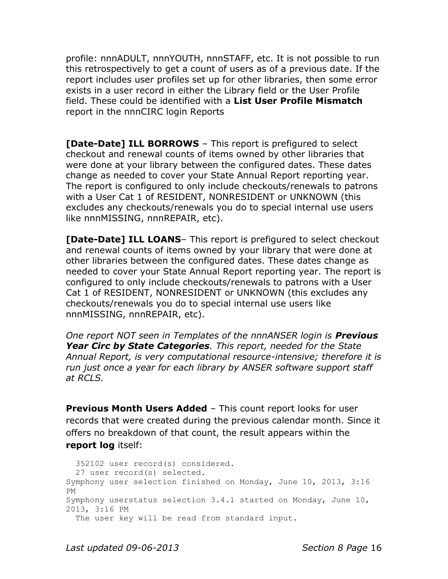profile: nnnADULT, nnnYOUTH, nnnSTAFF, etc. It is not possible to run this retrospectively to get a count of users as of a previous date. If the report includes user profiles set up for other libraries, then some error exists in a user record in either the Library field or the User Profile field. These could be identified with a **List User Profile Mismatch** report in the nnnCIRC login Reports

**[Date-Date] ILL BORROWS** – This report is prefigured to select checkout and renewal counts of items owned by other libraries that were done at your library between the configured dates. These dates change as needed to cover your State Annual Report reporting year. The report is configured to only include checkouts/renewals to patrons with a User Cat 1 of RESIDENT, NONRESIDENT or UNKNOWN (this excludes any checkouts/renewals you do to special internal use users like nnnMISSING, nnnREPAIR, etc).

**[Date-Date] ILL LOANS**– This report is prefigured to select checkout and renewal counts of items owned by your library that were done at other libraries between the configured dates. These dates change as needed to cover your State Annual Report reporting year. The report is configured to only include checkouts/renewals to patrons with a User Cat 1 of RESIDENT, NONRESIDENT or UNKNOWN (this excludes any checkouts/renewals you do to special internal use users like nnnMISSING, nnnREPAIR, etc).

*One report NOT seen in Templates of the nnnANSER login is Previous Year Circ by State Categories. This report, needed for the State Annual Report, is very computational resource-intensive; therefore it is run just once a year for each library by ANSER software support staff at RCLS.*

**Previous Month Users Added** – This count report looks for user records that were created during the previous calendar month. Since it offers no breakdown of that count, the result appears within the **report log** itself:

 352102 user record(s) considered. 27 user record(s) selected. Symphony user selection finished on Monday, June 10, 2013, 3:16 PM Symphony userstatus selection 3.4.1 started on Monday, June 10, 2013, 3:16 PM The user key will be read from standard input.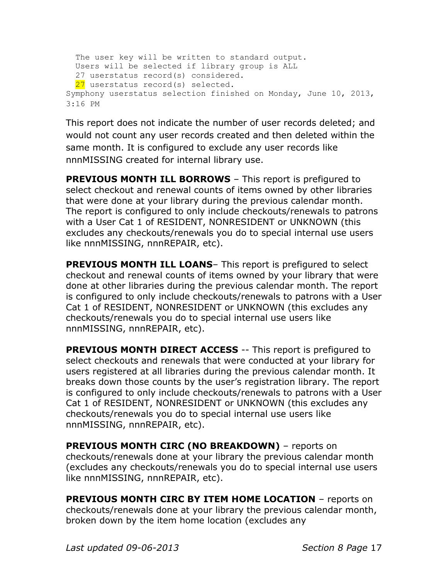```
The user key will be written to standard output.
  Users will be selected if library group is ALL
  27 userstatus record(s) considered.
 27 userstatus record(s) selected.
Symphony userstatus selection finished on Monday, June 10, 2013, 
3:16 PM
```
This report does not indicate the number of user records deleted; and would not count any user records created and then deleted within the same month. It is configured to exclude any user records like nnnMISSING created for internal library use.

**PREVIOUS MONTH ILL BORROWS** – This report is prefigured to select checkout and renewal counts of items owned by other libraries that were done at your library during the previous calendar month. The report is configured to only include checkouts/renewals to patrons with a User Cat 1 of RESIDENT, NONRESIDENT or UNKNOWN (this excludes any checkouts/renewals you do to special internal use users like nnnMISSING, nnnREPAIR, etc).

**PREVIOUS MONTH ILL LOANS** – This report is prefigured to select checkout and renewal counts of items owned by your library that were done at other libraries during the previous calendar month. The report is configured to only include checkouts/renewals to patrons with a User Cat 1 of RESIDENT, NONRESIDENT or UNKNOWN (this excludes any checkouts/renewals you do to special internal use users like nnnMISSING, nnnREPAIR, etc).

**PREVIOUS MONTH DIRECT ACCESS** -- This report is prefigured to select checkouts and renewals that were conducted at your library for users registered at all libraries during the previous calendar month. It breaks down those counts by the user's registration library. The report is configured to only include checkouts/renewals to patrons with a User Cat 1 of RESIDENT, NONRESIDENT or UNKNOWN (this excludes any checkouts/renewals you do to special internal use users like nnnMISSING, nnnREPAIR, etc).

**PREVIOUS MONTH CIRC (NO BREAKDOWN)** – reports on checkouts/renewals done at your library the previous calendar month (excludes any checkouts/renewals you do to special internal use users like nnnMISSING, nnnREPAIR, etc).

**PREVIOUS MONTH CIRC BY ITEM HOME LOCATION** – reports on checkouts/renewals done at your library the previous calendar month, broken down by the item home location (excludes any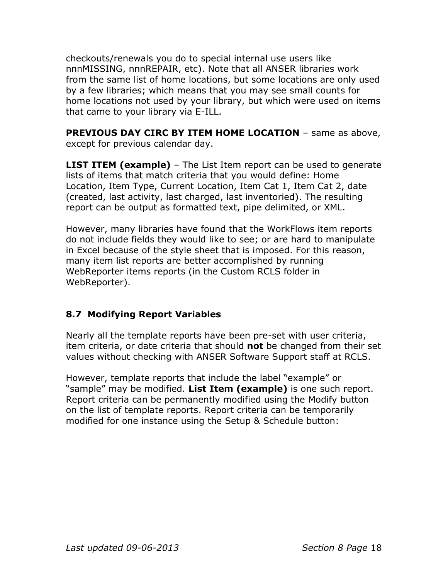checkouts/renewals you do to special internal use users like nnnMISSING, nnnREPAIR, etc). Note that all ANSER libraries work from the same list of home locations, but some locations are only used by a few libraries; which means that you may see small counts for home locations not used by your library, but which were used on items that came to your library via E-ILL.

**PREVIOUS DAY CIRC BY ITEM HOME LOCATION** - same as above, except for previous calendar day.

**LIST ITEM (example)** – The List Item report can be used to generate lists of items that match criteria that you would define: Home Location, Item Type, Current Location, Item Cat 1, Item Cat 2, date (created, last activity, last charged, last inventoried). The resulting report can be output as formatted text, pipe delimited, or XML.

However, many libraries have found that the WorkFlows item reports do not include fields they would like to see; or are hard to manipulate in Excel because of the style sheet that is imposed. For this reason, many item list reports are better accomplished by running WebReporter items reports (in the Custom RCLS folder in WebReporter).

# **8.7 Modifying Report Variables**

Nearly all the template reports have been pre-set with user criteria, item criteria, or date criteria that should **not** be changed from their set values without checking with ANSER Software Support staff at RCLS.

However, template reports that include the label "example" or "sample" may be modified. **List Item (example)** is one such report. Report criteria can be permanently modified using the Modify button on the list of template reports. Report criteria can be temporarily modified for one instance using the Setup & Schedule button: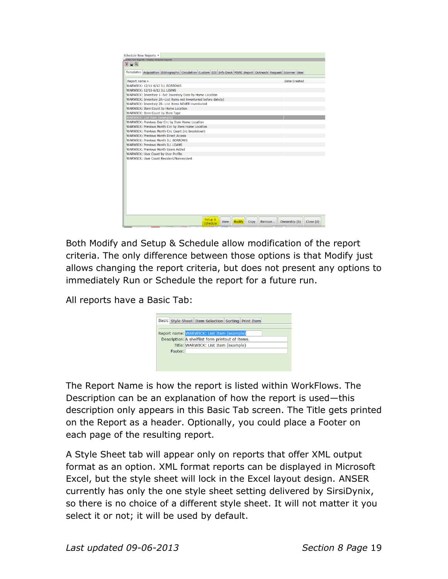

Both Modify and Setup & Schedule allow modification of the report criteria. The only difference between those options is that Modify just allows changing the report criteria, but does not present any options to immediately Run or Schedule the report for a future run.

All reports have a Basic Tab:



The Report Name is how the report is listed within WorkFlows. The Description can be an explanation of how the report is used—this description only appears in this Basic Tab screen. The Title gets printed on the Report as a header. Optionally, you could place a Footer on each page of the resulting report.

A Style Sheet tab will appear only on reports that offer XML output format as an option. XML format reports can be displayed in Microsoft Excel, but the style sheet will lock in the Excel layout design. ANSER currently has only the one style sheet setting delivered by SirsiDynix, so there is no choice of a different style sheet. It will not matter it you select it or not; it will be used by default.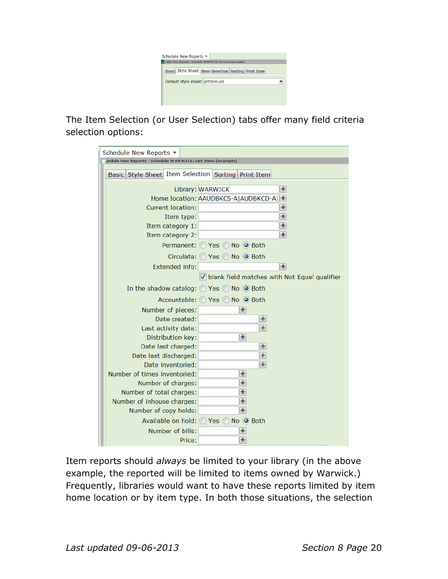

The Item Selection (or User Selection) tabs offer many field criteria selection options:

| Schedule New Reports *                                              |                                                |
|---------------------------------------------------------------------|------------------------------------------------|
| edule New Reports : Schedule WARWICK: List Item (example)           |                                                |
| Basic Style Sheet Item Selection Sorting Print Item                 |                                                |
|                                                                     | Library: WARWICK<br>◈                          |
|                                                                     |                                                |
| Current location:                                                   | Home location: AAUDBKCS-A AUDBKCD-A .<br>◈     |
|                                                                     | ◈                                              |
| Item type:<br>Item category 1:                                      | ◈                                              |
| Item category 2:                                                    | ◈                                              |
|                                                                     | Permanent: O Yes O No O Both                   |
|                                                                     |                                                |
|                                                                     | Circulate: O Yes O No O Both                   |
| Extended info:                                                      | ◈                                              |
|                                                                     | I blank field matches with Not Equal qualifier |
| In the shadow catalog: $\bigcirc$ Yes $\bigcirc$ No $\bigcirc$ Both |                                                |
|                                                                     | Accountable: ○ Yes ○ No ● Both                 |
| Number of pieces:                                                   | ◈                                              |
| Date created:                                                       | ◈                                              |
| Last activity date:                                                 | ◈                                              |
| Distribution key:                                                   | ◈                                              |
| Date last charged:                                                  | ◈                                              |
| Date last discharged:                                               | ◈                                              |
| Date inventoried:                                                   | ◈                                              |
| Number of times inventoried:                                        | ◈                                              |
| Number of charges:                                                  | ◈                                              |
| Number of total charges:                                            | ◈                                              |
| Number of inhouse charges:                                          | ◈                                              |
| Number of copy holds:                                               | ◈                                              |
|                                                                     | Available on hold: ◯ Yes ◯ No ⊙ Both           |
| Number of bills:                                                    | ◈                                              |
| Price:                                                              | ◈                                              |

Item reports should *always* be limited to your library (in the above example, the reported will be limited to items owned by Warwick.) Frequently, libraries would want to have these reports limited by item home location or by item type. In both those situations, the selection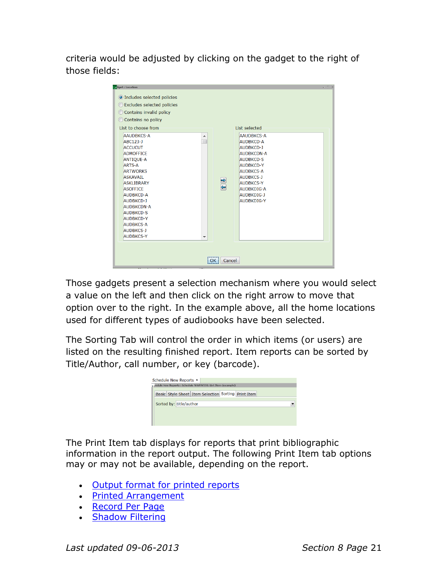criteria would be adjusted by clicking on the gadget to the right of those fields:

| dget: Location                                                                                                                                                                                                                                                                                                                                         |               | $ \Box$ $\times$                                                                                                                                                                                                      |
|--------------------------------------------------------------------------------------------------------------------------------------------------------------------------------------------------------------------------------------------------------------------------------------------------------------------------------------------------------|---------------|-----------------------------------------------------------------------------------------------------------------------------------------------------------------------------------------------------------------------|
| O Includes selected policies<br>◯ Excludes selected policies<br>Contains invalid policy<br>Contains no policy<br>$\circ$<br>List to choose from                                                                                                                                                                                                        |               | List selected                                                                                                                                                                                                         |
| AAUDBKCS-A<br>▲<br>ABC123-J<br><b>ACCUCUT</b><br><b>ADMOFFICE</b><br><b>ANTIQUE-A</b><br><b>ARTS-A</b><br><b>ARTWORKS</b><br><b>ASKAVAIL</b><br><b>ASKI IBRARY</b><br><b>ASOFFICE</b><br><b>AUDBKCD-A</b><br><b>AUDBKCD-J</b><br><b>AUDBKCDN-A</b><br><b>AUDBKCD-S</b><br><b>AUDBKCD-Y</b><br><b>AUDBKCS-A</b><br><b>AUDBKCS-J</b><br><b>AUDBKCS-Y</b> | $\frac{1}{2}$ | AAUDBKCS-A<br><b>AUDBKCD-A</b><br>AUDBKCD-1<br><b>AUDBKCDN-A</b><br><b>AUDBKCD-S</b><br><b>AUDBKCD-Y</b><br>AUDBKCS-A<br><b>AUDBKCS-J</b><br><b>AUDBKCS-Y</b><br><b>AUDBKDIG-A</b><br>AUDBKDIG-1<br><b>AUDBKDIG-Y</b> |
|                                                                                                                                                                                                                                                                                                                                                        | OK<br>Cancel  |                                                                                                                                                                                                                       |

Those gadgets present a selection mechanism where you would select a value on the left and then click on the right arrow to move that option over to the right. In the example above, all the home locations used for different types of audiobooks have been selected.

The Sorting Tab will control the order in which items (or users) are listed on the resulting finished report. Item reports can be sorted by Title/Author, call number, or key (barcode).

| Schedule New Reports *  | +; redule New Reports : Schedule WARWICK: List Item (example) |  |  |
|-------------------------|---------------------------------------------------------------|--|--|
|                         | Basic Style Sheet Item Selection Sorting Print Item           |  |  |
| Sorted by: title/author |                                                               |  |  |
|                         |                                                               |  |  |
|                         |                                                               |  |  |

The Print Item tab displays for reports that print bibliographic information in the report output. The following Print Item tab options may or may not be available, depending on the report.

- [Output format for printed reports](Print_Item_Output.html#wp1028251)
- [Printed Arrangement](Print_Item_Output.html#wp3222344)
- [Record Per Page](Print_Item_Output.html#wp1028261)
- [Shadow Filtering](Print_Item_Output.html#wp1028264)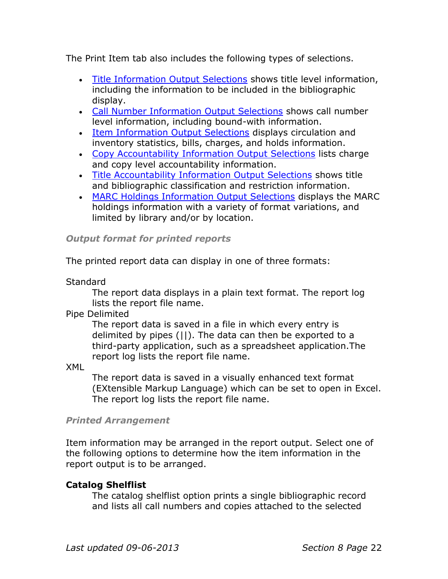The Print Item tab also includes the following types of selections.

- [Title Information Output Selections](Title_Information_Output.html) shows title level information, including the information to be included in the bibliographic display.
- [Call Number Information Output Selections](Call_Number_Information_Ou-1.html) shows call number level information, including bound-with information.
- [Item Information Output Selections](Copy_Information_Output.html) displays circulation and inventory statistics, bills, charges, and holds information.
- [Copy Accountability Information Output Selections](Copy_Accountability_Inform-1.html) lists charge and copy level accountability information.
- [Title Accountability Information Output Selections](Title_Accountability_Infor-1.html) shows title and bibliographic classification and restriction information.
- [MARC Holdings Information Output Selections](MARC_Holdings_Information_Output.html) displays the MARC holdings information with a variety of format variations, and limited by library and/or by location.

#### *Output format for printed reports*

The printed report data can display in one of three formats:

**Standard** 

The report data displays in a plain text format. The report log lists the report file name.

Pipe Delimited

The report data is saved in a file in which every entry is delimited by pipes (||). The data can then be exported to a third-party application, such as a spreadsheet application.The report log lists the report file name.

XML

The report data is saved in a visually enhanced text format (EXtensible Markup Language) which can be set to open in Excel. The report log lists the report file name.

#### *Printed Arrangement*

Item information may be arranged in the report output. Select one of the following options to determine how the item information in the report output is to be arranged.

# **Catalog Shelflist**

The catalog shelflist option prints a single bibliographic record and lists all call numbers and copies attached to the selected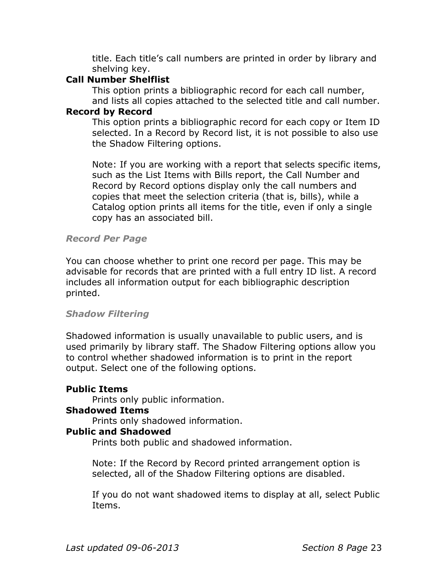title. Each title's call numbers are printed in order by library and shelving key.

### **Call Number Shelflist**

This option prints a bibliographic record for each call number, and lists all copies attached to the selected title and call number.

#### **Record by Record**

This option prints a bibliographic record for each copy or Item ID selected. In a Record by Record list, it is not possible to also use the Shadow Filtering options.

Note: If you are working with a report that selects specific items, such as the List Items with Bills report, the Call Number and Record by Record options display only the call numbers and copies that meet the selection criteria (that is, bills), while a Catalog option prints all items for the title, even if only a single copy has an associated bill.

#### *Record Per Page*

You can choose whether to print one record per page. This may be advisable for records that are printed with a full entry ID list. A record includes all information output for each bibliographic description printed.

#### *Shadow Filtering*

Shadowed information is usually unavailable to public users, and is used primarily by library staff. The Shadow Filtering options allow you to control whether shadowed information is to print in the report output. Select one of the following options.

# **Public Items**

Prints only public information.

# **Shadowed Items**

Prints only shadowed information.

# **Public and Shadowed**

Prints both public and shadowed information.

Note: If the Record by Record printed arrangement option is selected, all of the Shadow Filtering options are disabled.

If you do not want shadowed items to display at all, select Public Items.